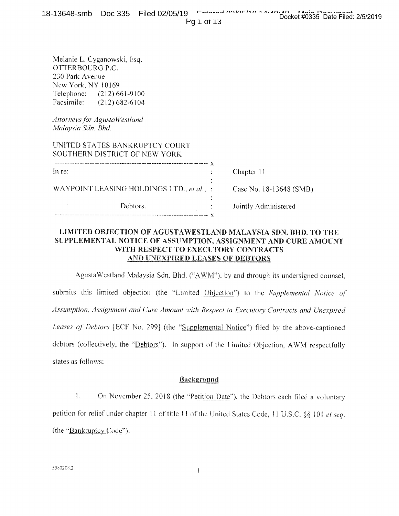Melanie L. Cyganowski, Esq. OTTERBOURG P.C. 230 Park Avenue New York, NY 10169 Telephone: (212) 661-9100 Facsimile: (212) 682-6104

*Attorneys for AgustaWestland Malaysia Sdn. Bhd.* 

| UNITED STATES BANKRUPTCY COURT<br>SOUTHERN DISTRICT OF NEW YORK |  |
|-----------------------------------------------------------------|--|
| In re:                                                          |  |
| WAYPOINT LEASING HOLDINGS LTD., et al., :                       |  |
| Debtors.                                                        |  |

Chapter 11

Case No. 18-13648 (SMB)

Jointly Administered

#### **LIMITED OBJECTION OF AGUSTAWESTLAND MALAYSIA SDN. BHD. TO THE SUPPLEMENTAL NOTICE OF ASSUMPTION, ASSIGNMENT AND CURE AMOUNT WITH RESPECT TO EXECUTORY CONTRACTS AND UNEXPIRED LEASES OF DEBTORS**

AgustaWestland Malaysia Sdn. Bhd. ("AWM"), by and through its undersigned counsel, submits this limited objection (the "Limited Objection") to the *Supplemental Notice of Assumption, Assignment and Cure Amount with Respect to Executory Contracts and Unexpired Leases of Debtors* [ECF No. 299] (the "Supplemental Notice") **filed** by the above-captioned debtors (collectively, the "Debtors"). In support of the Limited Objection, AWM respectfully states as follows:

### Background

1. On November 25, 2018 (the "Petition Date"), the Debtors each filed a voluntary petition for relief under chapter 11 of title 11 of the United States Code, II U.S.C. §§ 101 *et seq.*  (the "Bankruptcy Code").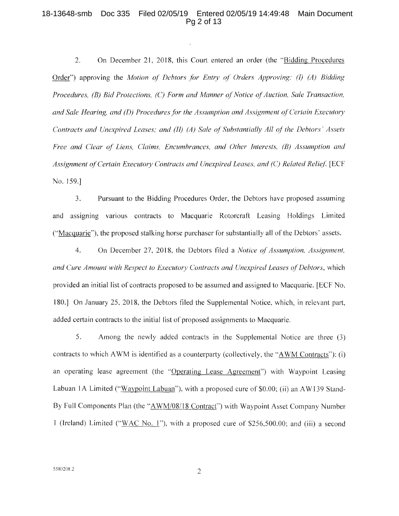#### 18-13648-smb Doc 335 Filed 02/05/19 Entered 02/05/19 14:49:48 Main Document Pg 2 of 13

2. On December 21, 2018, this Court entered an order (the "Bidding Procedures Order") approving the *Motion of Debtors for Entry of Orders Approving: (I) (A) Bidding Procedures, (B) Bid Protections, (C) Form and Manner of Notice of Auction, Sale Transaction, and Sale Hearing, and (D) Procedures for the Assumption and Assignment of Certain Executor), Contracts and Unexpired Leases; and (II) (A) Sale of Substantially All of the Debtors' Assets Free and Clear of Liens, Claims, Encumbrances, and Other Interests, (B) Assumption and*  Assignment of Certain Executory Contracts and Unexpired Leases, and (C) Related Relief. [ECF No. 159.]

3. Pursuant to the Bidding Procedures Order, the Debtors have proposed assuming and assigning various contracts to Macquarie Rotorcraft Leasing Holdings Limited ("Macquarie"), the proposed stalking horse purchaser for substantially all of the Debtors' assets.

4. On December 27, 2018, the Debtors filed *a Notice of Assumption, Assignment, and Cure Amount with Respect to Executory Contracts and Unexpired Leases of Debtors,* which provided an initial list of contracts proposed to be assumed and assigned to Macquarie. [ECF No. 180.] On January 25, 2018, the Debtors filed the Supplemental Notice, which, in relevant part, added certain contracts to the initial list of proposed assignments to Macquarie.

5. Among the newly added contracts in the Supplemental Notice are three (3) contracts to which AWM is identified as a counterparty (collectively, the "AWM Contracts"): (i) an operating lease agreement (the "Operating Lease Agreement") with Waypoint Leasing Labuan 1A Limited ("Waypoint Labuan"), with a proposed cure of \$0.00; (ii) an AW139 Stand-By Full Components Plan (the "AWM/08/18 Contract") with Waypoint Asset Company Number 1 (Ireland) Limited ("WAC No. 1"), with a proposed cure of \$256,500.00; and (iii) a second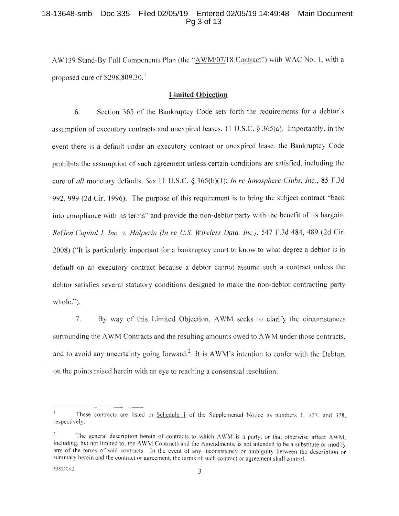#### 18-13648-smb Doc 335 Filed 02/05/19 Entered 02/05/19 14:49:48 Main Document Pg 3 of 13

AW139 Stand-By Full Components Plan (the "AWM/07/18 Contract") with WAC No. I, with a proposed cure of  $$298,809.30$ .<sup>1</sup>

#### **Limited Objection**

6. Section 365 of the Bankruptcy Code sets forth the requirements for a debtor's assumption of executory contracts and unexpired leases. 11 U.S.C. § 365(a). Importantly, in the event there is a default under an executory contract or unexpired lease. the Bankruptcy Code prohibits the assumption of such agreement unless certain conditions are satisfied, including the cure of *all* monetary defaults. *See 11 U.S.C. §* 365(b)(1); *In re Ionosphere Clubs, Inc.,* 85 F.3d 992, 999 (2d Cir. 1996). The purpose of this requirement is to bring the subject contract "back into compliance with its terms" and provide the non-debtor party with the benefit of its bargain. *ReGen Capital I, Inc. v. Halperin (In re U.S. Wireless Data, Inc.),* 547 F.3d 484, 489 (2d Cir. 2008) ("It is particularly important for a bankruptcy court to know to what degree a debtor is in default on an executory contract because a debtor cannot assume such a contract unless the debtor satisfies several statutory conditions designed to make the non-debtor contracting party whole.").

7. By way of this Limited Objection, AWM seeks to clarify the circumstances surrounding the AWM Contracts and the resulting amounts owed to AWM under those contracts. and to avoid any uncertainty going forward.<sup>2</sup> It is AWM's intention to confer with the Debtors on the points raised herein with an eye to reaching a consensual resolution.

These contracts are listed in Schedule 1 of the Supplemental Notice as numbers 1, 377, and 378, respectively.

The general description herein of contracts to which AWM is a party, or that otherwise affect AWM, including, but not limited to, the AWM Contracts and the Amendments, is not intended to be a substitute or modify any of the terms of said contracts. In the event of any inconsistency or ambiguity between the description or summary herein and the contract or agreement, the terms of such contract or agreement shall control.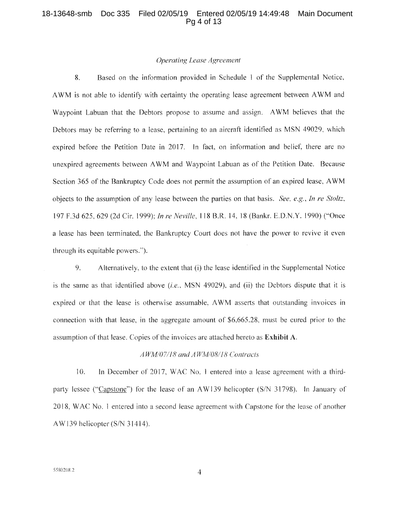#### 18-13648-smb Doc 335 Filed 02/05/19 Entered 02/05/19 14:49:48 Main Document Pg 4 of 13

#### Operating Lease Agreement

8. Based on the information provided in Schedule 1 of the Supplemental Notice, AWM is not able to identify with certainty the operating lease agreement between AWM and Waypoint Labuan that the Debtors propose to assume and assign. AWM believes that the Debtors may be referring to a lease, pertaining to an aircraft identified as MSN 49029, which expired before the Petition Date in 2017. In fact, on information and belief, there are no unexpired agreements between AWM and Waypoint Labuan as of the Petition Date. Because Section 365 of the Bankruptcy Code does not permit the assumption of an expired lease, AWM objects to the assumption of any lease between the parties on that basis. See, e.g., In re Stoltz, 197 F.3d 625, 629 (2d Cir. 1999); In re Neville, 118 B.R. 14, 18 (Bankr. E.D.N.Y. 1990) ("Once a lease has been terminated, the Bankruptcy Court does not have the power to revive it even through its equitable powers.").

9. Alternatively, to the extent that (i) the lease identified in the Supplemental Notice is the same as that identified above (i.e., MSN 49029), and (ii) the Debtors dispute that it is expired or that the lease is otherwise assumable, AWM asserts that outstanding invoices in connection with that lease, in the aggregate amount of \$6,665.28, must be cured prior to the assumption of that lease. Copies of the invoices are attached hereto as Exhibit A.

#### AWM/07/18 and AWM/08/18 Contracts

10. In December of 2017, WAC No. 1 entered into a lease agreement with a thirdparty lessee ("Capstone") for the lease of an AW139 helicopter (S/N 31798). In January of 2018, WAC No. 1 entered into a second lease agreement with Capstone for the lease of another AW139 helicopter (S/N 31414).

 $\overline{4}$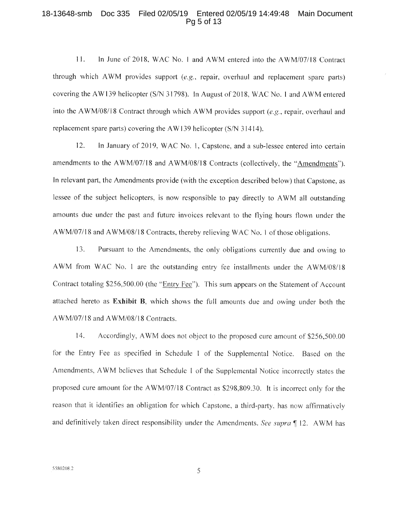#### 18-13648-smb Doc 335 Filed 02/05/19 Entered 02/05/19 14:49:48 Main Document Pg 5 of 13

11. In June of 2018, WAC No. 1 and AWM entered into the AWM/07/18 Contract through which AWM provides support *(e.g.,* repair, overhaul and replacement spare parts) covering the AW139 helicopter (S/N 31798). In August of 2018, WAC No. 1 and AWM entered into the AWM/08/18 Contract through which AWM provides support *(e.g.,* repair, overhaul and replacement spare parts) covering the AW 139 helicopter (S/N 31414).

12. In January of 2019, WAC No. 1, Capstone, and a sub-lessee entered into certain amendments to the AWM/07/18 and AWM/08/18 Contracts (collectively, the "Amendments"). In relevant part, the Amendments provide (with the exception described below) that Capstone, as lessee of the subject helicopters, is now responsible to pay directly to AWM all outstanding amounts due under the past and future invoices relevant to the flying hours flown under the AWM/07/18 and AWM/08/18 Contracts, thereby relieving WAC No. 1 of those obligations.

13. Pursuant to the Amendments, the only obligations currently due and owing to AWM from WAC No. I are the outstanding entry fee installments under the AWM/08/18 Contract totaling \$256,500.00 (the "Entry Fee"). This sum appears on the Statement of Account attached hereto as **Exhibit B,** which shows the full amounts due and owing under both the AWM/07/18 and AWM/08/18 Contracts.

14 Accordingly, AWM does not object to the proposed cure amount of \$256,500.00 for the Entry Fee as specified in Schedule I of the Supplemental Notice. Based on the Amendments, AWM believes that Schedule I of the Supplemental Notice incorrectly states the proposed cure amount for the AWM/07/18 Contract as \$298,809.30. It is incorrect only for the reason that it identifies an obligation for which Capstone, a third-party, has now affirmatively and definitively taken direct responsibility under the Amendments. *See supra ¶* 12. AWM has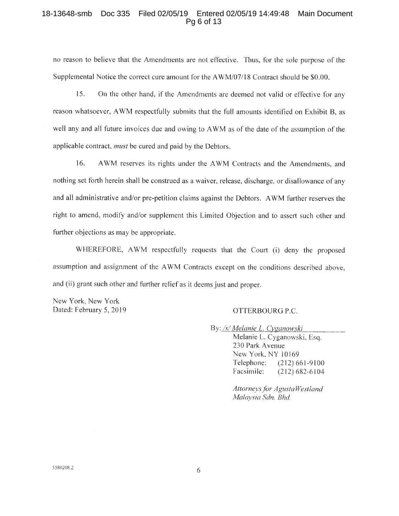#### 18-13648-smb Doc 335 Filed 02/05/19 Entered 02/05/19 14:49:48 Main Document Pg 6 of 13

no reason to believe that the Amendments are not effective. Thus, for the sole purpose of the Supplemental Notice the correct cure amount for the AWM/07/18 Contract should be \$0.00.

15. On the other hand, if the Amendments are deemed not valid or effective for any reason whatsoever, AWM respectfully submits that the full amounts identified on Exhibit B, as well any and all future invoices due and owing to AWM as of the date of the assumption of the applicable contract, *must* be cured and paid by the Debtors.

16. AWM reserves its rights under the AWM Contracts and the Amendments, and nothing set forth herein shall be construed as a waiver, release, discharge, or disallowance of any and all administrative and/or pre-petition claims against the Debtors. AWM further reserves the right to amend, modify and/or supplement this Limited Objection and to assert such other and further objections as may be appropriate.

WHEREFORE, AWM respectfully requests that the Court (i) deny the proposed assumption and assignment of the AWM Contracts except on the conditions described above, and (ii) grant such other and further relief as it deems just and proper.

New York, New York Dated: February 5, 2019 QUERBOURG P.C.

By: /s/ *Melanie L. Cyganowski* 

Melanie L. Cyganowski, Esq. 230 Park Avenue New York, NY 10169 Telephone: (212) 661-9100 Facsimile: (212) 682-6104

*Attorneys. for AgustaWestland Malaysia Sdn. Bhd*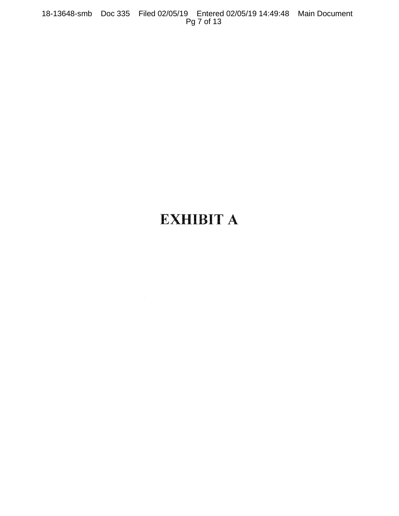18-13648-smb Doc 335 Filed 02/05/19 Entered 02/05/19 14:49:48 Main Document Pg 7 of 13

# **EXHIBIT A**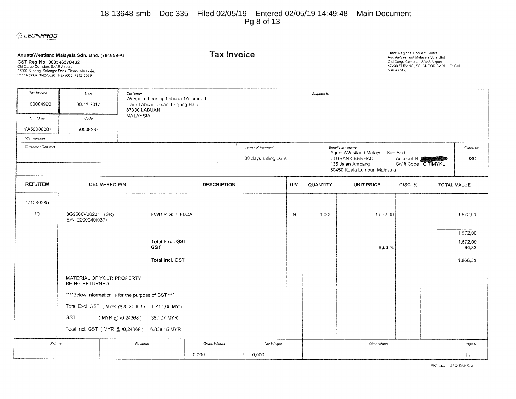#### 18-13648-smb Doc 335 Filed 02/05/19 Entered 02/05/19 14:49:48 Main Document Pg 8 of 13



| GST Reg No: 000546578432<br>Old Cargo Complex, SAAS Airport,<br>47200 Subang, Selangor Darul Ensan, Malaysia.<br>Phone (603) 7842-3026 Fax (603) 7842-3029 | AgustaWestland Malaysia Sdn. Bhd. (784659-A) |                                                                                                                                                                                                                     |                                                                         | <b>Tax Invoice</b> |            |      |                 |                   | Plant: Regional Logistic Centre<br>AgustaWestland Malaysia Sdn. Bhd.<br>Old Cargo Complex, SAAS Airport<br>47200 SUBANG, SELANGOR DARUL EHSAN<br>MALAYSIA |  |                                           |
|------------------------------------------------------------------------------------------------------------------------------------------------------------|----------------------------------------------|---------------------------------------------------------------------------------------------------------------------------------------------------------------------------------------------------------------------|-------------------------------------------------------------------------|--------------------|------------|------|-----------------|-------------------|-----------------------------------------------------------------------------------------------------------------------------------------------------------|--|-------------------------------------------|
| Tax Invoice                                                                                                                                                | Date                                         | Customer                                                                                                                                                                                                            |                                                                         |                    | Shipped to |      |                 |                   |                                                                                                                                                           |  |                                           |
| 1100004990                                                                                                                                                 | 30.11.2017                                   | 87000 LABUAN                                                                                                                                                                                                        | Waypoint Leasing Labuan 1A Limited<br>Tiara Labuan, Jalan Tanjung Batu, |                    |            |      |                 |                   |                                                                                                                                                           |  |                                           |
| Our Order                                                                                                                                                  | Code                                         | <b>MALAYSIA</b>                                                                                                                                                                                                     |                                                                         |                    |            |      |                 |                   |                                                                                                                                                           |  |                                           |
| YA50008287                                                                                                                                                 | 50008287                                     |                                                                                                                                                                                                                     |                                                                         |                    |            |      |                 |                   |                                                                                                                                                           |  |                                           |
| VAT number                                                                                                                                                 |                                              |                                                                                                                                                                                                                     |                                                                         |                    |            |      |                 |                   |                                                                                                                                                           |  |                                           |
| Customer Contract                                                                                                                                          |                                              | Terms of Payment<br><b>Beneticiary Name</b><br>AgustaWestland Malaysia Sdn Bhd<br>30 days Billing Date<br>CITIBANK BERHAD<br>Account N.<br>Swift Code: CITIMYKL<br>165 Jalan Ampang<br>50450 Kuala Lumpur, Malaysia |                                                                         |                    |            |      | Currency<br>USD |                   |                                                                                                                                                           |  |                                           |
| <b>REF./ITEM</b>                                                                                                                                           | DELIVERED P/N<br><b>DESCRIPTION</b>          |                                                                                                                                                                                                                     |                                                                         |                    |            | U.M. | <b>QUANTITY</b> | <b>UNIT PRICE</b> | DISC. $%$                                                                                                                                                 |  | <b>TOTAL VALUE</b>                        |
| 771080285                                                                                                                                                  |                                              |                                                                                                                                                                                                                     |                                                                         |                    |            |      |                 |                   |                                                                                                                                                           |  |                                           |
| 10                                                                                                                                                         | 8G9560V00231 (SR)<br>S/N: 2000040(037)       |                                                                                                                                                                                                                     | <b>FWD RIGHT FLOAT</b>                                                  |                    |            | N    | 1,000           | 1.572,00          |                                                                                                                                                           |  | 1.572.00                                  |
|                                                                                                                                                            |                                              |                                                                                                                                                                                                                     | <b>Total Excl. GST</b><br><b>GST</b><br>Total Incl. GST                 |                    |            |      |                 | 6.00%             |                                                                                                                                                           |  | 1.572,00<br>1.572,00<br>94,32<br>1.666,32 |
|                                                                                                                                                            | BEING RETURNED                               | MATERIAL OF YOUR PROPERTY                                                                                                                                                                                           |                                                                         |                    |            |      |                 |                   |                                                                                                                                                           |  |                                           |
|                                                                                                                                                            |                                              | ****Below Information is for the purpose of GST****                                                                                                                                                                 |                                                                         |                    |            |      |                 |                   |                                                                                                                                                           |  |                                           |
|                                                                                                                                                            |                                              | Total Excl. GST (MYR @ /0,24368) 6.451,08 MYR                                                                                                                                                                       |                                                                         |                    |            |      |                 |                   |                                                                                                                                                           |  |                                           |
|                                                                                                                                                            | <b>GST</b>                                   | (MYR@/0,24368)                                                                                                                                                                                                      | 387,07 MYR                                                              |                    |            |      |                 |                   |                                                                                                                                                           |  |                                           |
|                                                                                                                                                            |                                              | Total Incl. GST (MYR @ /0,24368)                                                                                                                                                                                    | 6.838,15 MYR                                                            |                    |            |      |                 |                   |                                                                                                                                                           |  |                                           |
|                                                                                                                                                            |                                              |                                                                                                                                                                                                                     |                                                                         |                    |            |      |                 |                   |                                                                                                                                                           |  |                                           |
|                                                                                                                                                            | Shipment                                     | Package                                                                                                                                                                                                             |                                                                         | Gross Weight       | Net Weight |      |                 | Dimensions        |                                                                                                                                                           |  | Page N.                                   |
|                                                                                                                                                            |                                              |                                                                                                                                                                                                                     |                                                                         | 0,000              | 0,000      |      |                 |                   |                                                                                                                                                           |  | 111                                       |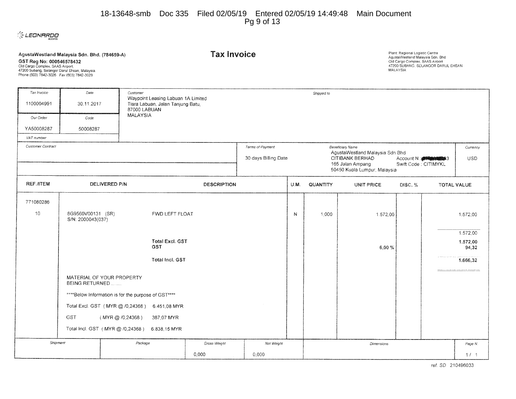#### 18-13648-smb Doc 335 Filed 02/05/19 Entered 02/05/19 14:49:48 Main Document Pg 9 of 13



#### **AgustaWestland Malaysia Sdn. Bhd. (784659-A)**

**GST Reg No: 000546578432**<br>Old Cargo Complex, SAAS Airport,<br>47200 Subang, Selangor Darul Ehsan, Malaysia.<br>Phone (603) 7842-3026 Fax (603) 7842-3029

**Tax Invoice Plant Regional Logistic Centre** AgustaWestland Malaysia Sdn. Bhd Old Cargo Complex, SAAS Airport 47200 SUBANG. SELANGOR DARUL EHSAN MALAYSIA

| Tax Invoice       | Date                  | Customer                                            |                                                                                         |                    |                                                  |                      | Shipped to      |                                                    |         |                        |                                                                                                                                                                                                                                                                                                                                                                                                                                                                                                                                                             |
|-------------------|-----------------------|-----------------------------------------------------|-----------------------------------------------------------------------------------------|--------------------|--------------------------------------------------|----------------------|-----------------|----------------------------------------------------|---------|------------------------|-------------------------------------------------------------------------------------------------------------------------------------------------------------------------------------------------------------------------------------------------------------------------------------------------------------------------------------------------------------------------------------------------------------------------------------------------------------------------------------------------------------------------------------------------------------|
| 1100004991        | 30.11.2017            |                                                     | Waypoint Leasing Labuan 1A Limited<br>Tiara Labuan, Jalan Tanjung Batu,<br>87000 LABUAN |                    |                                                  |                      |                 |                                                    |         |                        |                                                                                                                                                                                                                                                                                                                                                                                                                                                                                                                                                             |
| Our Order         | Code                  | MALAYSIA                                            |                                                                                         |                    |                                                  |                      |                 |                                                    |         |                        |                                                                                                                                                                                                                                                                                                                                                                                                                                                                                                                                                             |
| YA50008287        | 50008287              |                                                     |                                                                                         |                    |                                                  |                      |                 |                                                    |         |                        |                                                                                                                                                                                                                                                                                                                                                                                                                                                                                                                                                             |
| VAT number        |                       |                                                     |                                                                                         |                    |                                                  |                      |                 |                                                    |         |                        |                                                                                                                                                                                                                                                                                                                                                                                                                                                                                                                                                             |
| Customer Contract |                       |                                                     |                                                                                         |                    | Terms of Payment                                 |                      |                 | Beneficiary Name                                   |         |                        | Currency                                                                                                                                                                                                                                                                                                                                                                                                                                                                                                                                                    |
|                   |                       |                                                     |                                                                                         |                    | 30 days Billing Date                             |                      |                 | AgustaWestland Malaysia Sdn Bhd<br>CITIBANK BERHAD |         | Account N.: 2004 10:33 | <b>USD</b>                                                                                                                                                                                                                                                                                                                                                                                                                                                                                                                                                  |
|                   |                       |                                                     |                                                                                         |                    | 165 Jalan Ampang<br>50450 Kuala Lumpur, Malaysia | Swift Code: CITIMYKL |                 |                                                    |         |                        |                                                                                                                                                                                                                                                                                                                                                                                                                                                                                                                                                             |
| <b>REF./ITEM</b>  |                       | DELIVERED P/N                                       |                                                                                         | <b>DESCRIPTION</b> |                                                  | U.M.                 | <b>QUANTITY</b> | <b>UNIT PRICE</b>                                  | DISC. % |                        | <b>TOTAL VALUE</b>                                                                                                                                                                                                                                                                                                                                                                                                                                                                                                                                          |
| 771080286         |                       |                                                     |                                                                                         |                    |                                                  |                      |                 |                                                    |         |                        |                                                                                                                                                                                                                                                                                                                                                                                                                                                                                                                                                             |
| 10                | 8G9560V00131 (SR)     |                                                     | FWD LEFT FLOAT                                                                          |                    |                                                  | N                    |                 |                                                    |         |                        |                                                                                                                                                                                                                                                                                                                                                                                                                                                                                                                                                             |
|                   | S/N: 2000043(037)     |                                                     |                                                                                         |                    |                                                  |                      | 1,000           | 1.572,00                                           |         |                        | 1.572,00                                                                                                                                                                                                                                                                                                                                                                                                                                                                                                                                                    |
|                   |                       |                                                     |                                                                                         |                    |                                                  |                      |                 |                                                    |         |                        | 1.572,00                                                                                                                                                                                                                                                                                                                                                                                                                                                                                                                                                    |
|                   |                       |                                                     | Total Excl. GST                                                                         |                    |                                                  |                      |                 |                                                    |         |                        | 1.572,00                                                                                                                                                                                                                                                                                                                                                                                                                                                                                                                                                    |
|                   |                       |                                                     | GST                                                                                     |                    |                                                  |                      |                 | 6,00%                                              |         |                        | 94,32                                                                                                                                                                                                                                                                                                                                                                                                                                                                                                                                                       |
|                   |                       |                                                     | Total Incl. GST                                                                         |                    |                                                  |                      |                 |                                                    |         |                        | 1.666,32                                                                                                                                                                                                                                                                                                                                                                                                                                                                                                                                                    |
|                   |                       |                                                     |                                                                                         |                    |                                                  |                      |                 |                                                    |         |                        | $\label{eq:constrained} \begin{minipage}{0.9\textwidth} \begin{minipage}{0.9\textwidth} \centering \begin{minipage}{0.9\textwidth} \centering \end{minipage} \begin{minipage}{0.9\textwidth} \centering \begin{minipage}{0.9\textwidth} \centering \end{minipage} \begin{minipage}{0.9\textwidth} \centering \end{minipage} \begin{minipage}{0.9\textwidth} \centering \end{minipage} \begin{minipage}{0.9\textwidth} \centering \end{minipage} \begin{minipage}{0.9\textwidth} \centering \end{minipage} \begin{minipage}{0.9\textwidth} \centering \end{$ |
|                   | <b>BEING RETURNED</b> | MATERIAL OF YOUR PROPERTY                           |                                                                                         |                    |                                                  |                      |                 |                                                    |         |                        |                                                                                                                                                                                                                                                                                                                                                                                                                                                                                                                                                             |
|                   |                       | ****Below Information is for the purpose of GST**** |                                                                                         |                    |                                                  |                      |                 |                                                    |         |                        |                                                                                                                                                                                                                                                                                                                                                                                                                                                                                                                                                             |
|                   |                       | Total Excl. GST (MYR @ /0,24368) 6.451,08 MYR       |                                                                                         |                    |                                                  |                      |                 |                                                    |         |                        |                                                                                                                                                                                                                                                                                                                                                                                                                                                                                                                                                             |
|                   | GST                   | (MYR @ /0,24368)                                    | 387,07 MYR                                                                              |                    |                                                  |                      |                 |                                                    |         |                        |                                                                                                                                                                                                                                                                                                                                                                                                                                                                                                                                                             |
|                   |                       | Total Incl. GST (MYR @ /0,24368) 6.838,15 MYR       |                                                                                         |                    |                                                  |                      |                 |                                                    |         |                        |                                                                                                                                                                                                                                                                                                                                                                                                                                                                                                                                                             |
|                   |                       |                                                     |                                                                                         |                    |                                                  |                      |                 |                                                    |         |                        |                                                                                                                                                                                                                                                                                                                                                                                                                                                                                                                                                             |
| Shipment          |                       | Package                                             |                                                                                         | Gross Weight       | Net Weight                                       |                      |                 | Dimensions                                         |         |                        | Page N.                                                                                                                                                                                                                                                                                                                                                                                                                                                                                                                                                     |
| 0,000             |                       |                                                     |                                                                                         |                    | 0.000                                            |                      |                 |                                                    |         |                        | 1/1                                                                                                                                                                                                                                                                                                                                                                                                                                                                                                                                                         |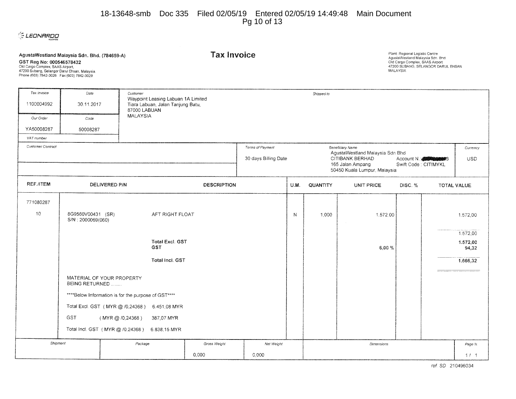#### 18-13648-smb Doc 335 Filed 02/05/19 Entered 02/05/19 14:49:48 Main Document Pg 10 of 13

### **CLEONARDO**

| GST Reg No: 000546578432<br>Old Cargo Complex, SAAS Airport,<br>47200 Subang, Selangor Darul Ehsan, Malaysia.<br>Phone (603) 7842-3026 Fax (603) 7842-3029 | AgustaWestland Malaysia Sdn. Bhd. (784659-A) |                                                     |                                                                         | <b>Tax Invoice</b> |                      |                                                                          |          |                                                     | Plant: Regional Logistic Centre<br>AgustaWestland Malaysia Sdn. Bhd.<br>Old Cargo Complex, SAAS Airport<br>47200 SUBANG, SELANGOR DARUL EHSAN<br><b>MALAYSIA</b> |  |                    |  |
|------------------------------------------------------------------------------------------------------------------------------------------------------------|----------------------------------------------|-----------------------------------------------------|-------------------------------------------------------------------------|--------------------|----------------------|--------------------------------------------------------------------------|----------|-----------------------------------------------------|------------------------------------------------------------------------------------------------------------------------------------------------------------------|--|--------------------|--|
| Tax Invoice                                                                                                                                                | Date                                         | Customer                                            |                                                                         |                    | Shipped to           |                                                                          |          |                                                     |                                                                                                                                                                  |  |                    |  |
| 1100004992                                                                                                                                                 | 30.11.2017                                   | 87000 LABUAN                                        | Waypoint Leasing Labuan 1A Limited<br>Tiara Labuan, Jalan Tanjung Batu, |                    |                      |                                                                          |          |                                                     |                                                                                                                                                                  |  |                    |  |
| Our Order                                                                                                                                                  | Code                                         | <b>MALAYSIA</b>                                     |                                                                         |                    |                      |                                                                          |          |                                                     |                                                                                                                                                                  |  |                    |  |
| YA50008287                                                                                                                                                 | 50008287                                     |                                                     |                                                                         |                    |                      |                                                                          |          |                                                     |                                                                                                                                                                  |  |                    |  |
| VAT number                                                                                                                                                 |                                              |                                                     |                                                                         |                    |                      |                                                                          |          |                                                     |                                                                                                                                                                  |  |                    |  |
| Customer Contract                                                                                                                                          |                                              |                                                     |                                                                         |                    | Terms of Payment     |                                                                          |          | Beneficiary Name<br>AgustaWestland Malaysia Sdn Bhd |                                                                                                                                                                  |  | Currency           |  |
|                                                                                                                                                            |                                              |                                                     |                                                                         |                    | 30 days Billing Date |                                                                          |          | CITIBANK BERHAD                                     | Account N.: <b>ASSESSING</b>                                                                                                                                     |  | <b>USD</b>         |  |
|                                                                                                                                                            |                                              |                                                     |                                                                         |                    |                      | 165 Jalan Ampang<br>Swift Code: CITIMYKL<br>50450 Kuala Lumpur, Malaysia |          |                                                     |                                                                                                                                                                  |  |                    |  |
| REF./ITEM                                                                                                                                                  | DELIVERED P/N<br><b>DESCRIPTION</b>          |                                                     |                                                                         |                    |                      | U.M.                                                                     | QUANTITY | <b>UNIT PRICE</b>                                   | DISC. %                                                                                                                                                          |  | <b>TOTAL VALUE</b> |  |
| 771080287                                                                                                                                                  |                                              |                                                     |                                                                         |                    |                      |                                                                          |          |                                                     |                                                                                                                                                                  |  |                    |  |
| 10                                                                                                                                                         | 8G9560V00431 (SR)<br>S/N: 2000069(060)       |                                                     | AFT RIGHT FLOAT                                                         |                    |                      | N                                                                        | 1.000    | 1.572.00                                            |                                                                                                                                                                  |  | 1.572,00           |  |
|                                                                                                                                                            |                                              |                                                     |                                                                         |                    |                      |                                                                          |          |                                                     |                                                                                                                                                                  |  | 1.572,00           |  |
|                                                                                                                                                            |                                              |                                                     | <b>Total Excl. GST</b><br><b>GST</b>                                    |                    |                      |                                                                          |          | 6,00%                                               |                                                                                                                                                                  |  | 1.572,00<br>94,32  |  |
|                                                                                                                                                            |                                              |                                                     | Total Incl. GST                                                         |                    |                      |                                                                          |          |                                                     |                                                                                                                                                                  |  | 1.666,32           |  |
|                                                                                                                                                            | BEING RETURNED                               | MATERIAL OF YOUR PROPERTY                           |                                                                         |                    |                      |                                                                          |          |                                                     |                                                                                                                                                                  |  |                    |  |
|                                                                                                                                                            |                                              | ****Below Information is for the purpose of GST**** |                                                                         |                    |                      |                                                                          |          |                                                     |                                                                                                                                                                  |  |                    |  |
|                                                                                                                                                            |                                              | Total Excl. GST (MYR @ /0,24368)                    | 6.451,08 MYR                                                            |                    |                      |                                                                          |          |                                                     |                                                                                                                                                                  |  |                    |  |
|                                                                                                                                                            | <b>GST</b>                                   | (MYR@/0,24368)                                      | 387,07 MYR                                                              |                    |                      |                                                                          |          |                                                     |                                                                                                                                                                  |  |                    |  |
|                                                                                                                                                            |                                              | Total Incl. GST (MYR @ /0,24368)                    | 6.838,15 MYR                                                            |                    |                      |                                                                          |          |                                                     |                                                                                                                                                                  |  |                    |  |
|                                                                                                                                                            |                                              |                                                     |                                                                         |                    |                      |                                                                          |          |                                                     |                                                                                                                                                                  |  |                    |  |
|                                                                                                                                                            | Shipment                                     | Package                                             |                                                                         | Gross Weight       | Net Weight           |                                                                          |          | <b>Dimensions</b>                                   |                                                                                                                                                                  |  | Page N.            |  |
|                                                                                                                                                            |                                              |                                                     |                                                                         | 0,000              | 0.000                |                                                                          |          |                                                     |                                                                                                                                                                  |  | 1/1                |  |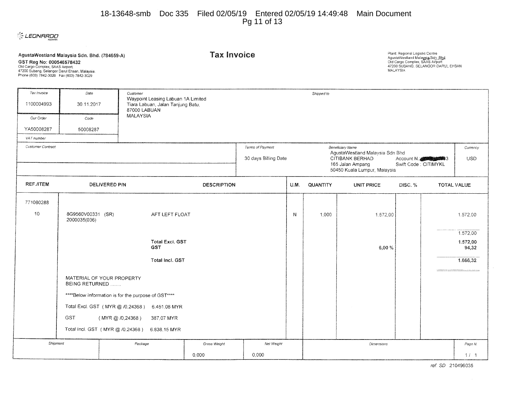#### 18-13648-smb Doc 335 Filed 02/05/19 Entered 02/05/19 14:49:48 Main Document Pg 11 of 13



| GST Reg No: 000546578432<br>Old Cargo Complex, SAAS Airport,<br>47200 Subang, Selangor Darul Ehsan, Malaysia.<br>Phone (603) 7842-3026  Fax (603) 7842-3029 | AgustaWestland Malaysia Sdn. Bhd. (784659-A) |                                                     | <b>Tax Invoice</b>                                                                      |              |                                          |      |            | Plant: Regional Logistic Centre<br>AgustaWestland Malaysia Sdn, Bhd.<br>Old Cargo Complex, SAAS Airport<br>47200 SUBANG, SELANGOR DARUL EHSAN<br><b>MALAYSIA</b> |                                    |                                           |
|-------------------------------------------------------------------------------------------------------------------------------------------------------------|----------------------------------------------|-----------------------------------------------------|-----------------------------------------------------------------------------------------|--------------|------------------------------------------|------|------------|------------------------------------------------------------------------------------------------------------------------------------------------------------------|------------------------------------|-------------------------------------------|
| Tax Invoice                                                                                                                                                 | Date                                         | Customer                                            |                                                                                         |              |                                          |      | Shipped to |                                                                                                                                                                  |                                    |                                           |
| 1100004993                                                                                                                                                  | 30.11.2017                                   |                                                     | Waypoint Leasing Labuan 1A Limited<br>Tiara Labuan, Jalan Tanjung Batu,<br>87000 LABUAN |              |                                          |      |            |                                                                                                                                                                  |                                    |                                           |
| Our Order                                                                                                                                                   | Code                                         | MALAYSIA                                            |                                                                                         |              |                                          |      |            |                                                                                                                                                                  |                                    |                                           |
| YA50008287                                                                                                                                                  | 50008287                                     |                                                     |                                                                                         |              |                                          |      |            |                                                                                                                                                                  |                                    |                                           |
| VAT number                                                                                                                                                  |                                              |                                                     |                                                                                         |              |                                          |      |            |                                                                                                                                                                  |                                    |                                           |
| <b>Customer Contract</b>                                                                                                                                    |                                              |                                                     |                                                                                         |              | Terms of Payment<br>30 days Billing Date |      |            | Beneficiary Name<br>AgustaWestland Malaysia Sdn Bhd<br>CITIBANK BERHAD<br>165 Jalan Ampang<br>50450 Kuala Lumpur, Malaysia                                       | Account N.<br>Swift Code: CITIMYKL | Currency<br>USD                           |
| REF./ITEM                                                                                                                                                   | DELIVERED P/N<br><b>DESCRIPTION</b>          |                                                     |                                                                                         |              |                                          | U.M. | QUANTITY   | <b>UNIT PRICE</b>                                                                                                                                                | DISC.%                             | <b>TOTAL VALUE</b>                        |
| 771080288                                                                                                                                                   |                                              |                                                     |                                                                                         |              |                                          |      |            |                                                                                                                                                                  |                                    |                                           |
| 10                                                                                                                                                          | 8G9560V00331 (SR)<br>2000035(036)            |                                                     | AFT LEFT FLOAT                                                                          |              |                                          | N    | 1,000      | 1.572,00                                                                                                                                                         |                                    | 1.572.00                                  |
|                                                                                                                                                             |                                              |                                                     | <b>Total Excl. GST</b><br><b>GST</b><br>Total Incl. GST                                 |              |                                          |      |            | 6,00%                                                                                                                                                            |                                    | 1.572,00<br>1.572,00<br>94,32<br>1.666,32 |
|                                                                                                                                                             | BEING RETURNED                               | MATERIAL OF YOUR PROPERTY                           |                                                                                         |              |                                          |      |            |                                                                                                                                                                  |                                    |                                           |
|                                                                                                                                                             |                                              | ****Below Information is for the purpose of GST**** |                                                                                         |              |                                          |      |            |                                                                                                                                                                  |                                    |                                           |
|                                                                                                                                                             |                                              | Total Excl. GST (MYR @ /0,24368)                    | 6.451,08 MYR                                                                            |              |                                          |      |            |                                                                                                                                                                  |                                    |                                           |
|                                                                                                                                                             | <b>GST</b>                                   | $(MYR \oslash 70,24368)$                            | 387,07 MYR                                                                              |              |                                          |      |            |                                                                                                                                                                  |                                    |                                           |
|                                                                                                                                                             |                                              |                                                     |                                                                                         |              |                                          |      |            |                                                                                                                                                                  |                                    |                                           |
|                                                                                                                                                             |                                              | Total Incl. GST (MYR @ /0,24368)                    | 6.838,15 MYR                                                                            |              |                                          |      |            |                                                                                                                                                                  |                                    |                                           |
| Shipment                                                                                                                                                    |                                              | Package                                             |                                                                                         | Gross Weight | Net Weight                               |      |            | Dimensions                                                                                                                                                       |                                    | Page N.                                   |
|                                                                                                                                                             |                                              |                                                     |                                                                                         | 0,000        | 0,000                                    |      |            |                                                                                                                                                                  |                                    | 1/1                                       |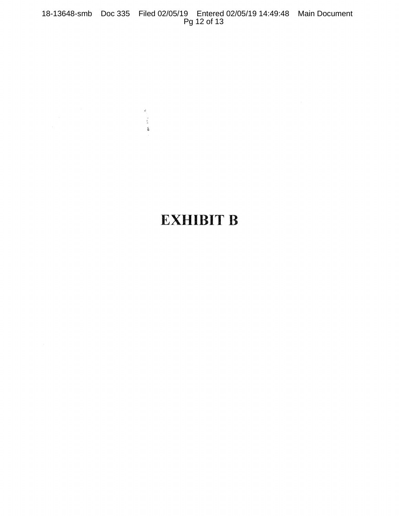18-13648-smb Doc 335 Filed 02/05/19 Entered 02/05/19 14:49:48 Main Document Pg 12 of 13

 $\vec{\Theta}_{\perp}$ 

 $\begin{array}{c} \frac{1}{2} \frac{1}{2} \frac{1}{2} \frac{1}{2} \frac{1}{2} \frac{1}{2} \frac{1}{2} \frac{1}{2} \frac{1}{2} \frac{1}{2} \frac{1}{2} \frac{1}{2} \frac{1}{2} \frac{1}{2} \frac{1}{2} \frac{1}{2} \frac{1}{2} \frac{1}{2} \frac{1}{2} \frac{1}{2} \frac{1}{2} \frac{1}{2} \frac{1}{2} \frac{1}{2} \frac{1}{2} \frac{1}{2} \frac{1}{2} \frac{1}{2} \frac{1}{2} \frac{1}{2} \frac{$ 

## **EXHIBIT B**